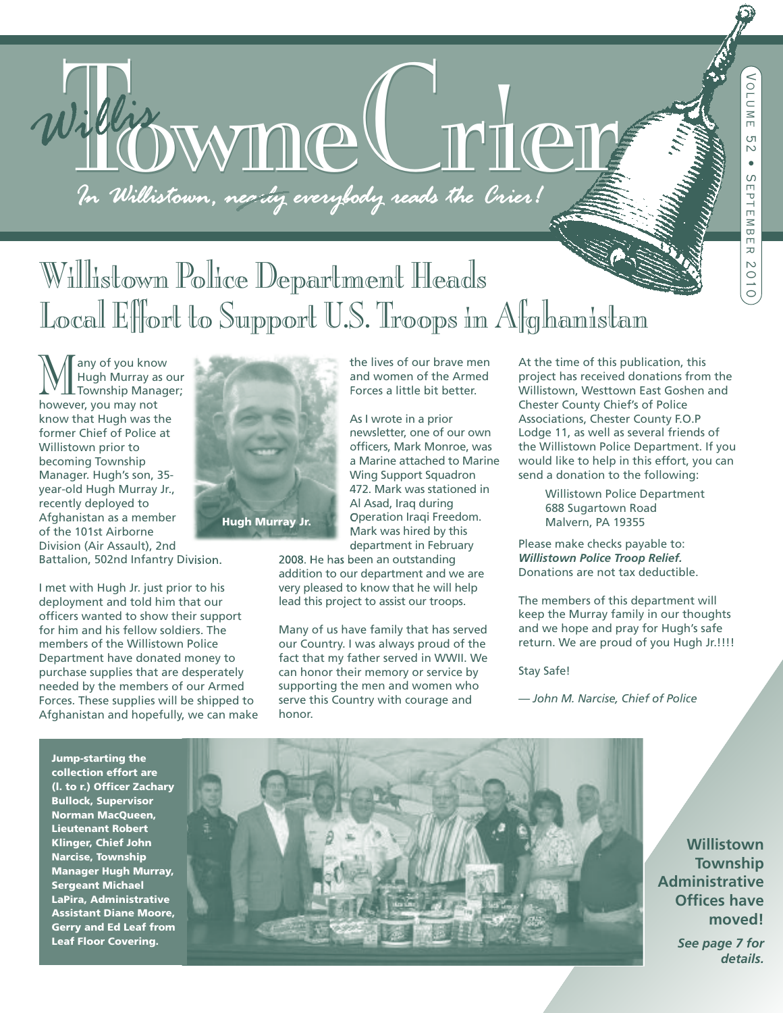

# Willistown PoliceDepartment Heads Local Effort to Support U.S. Troops in Afghanistan

**Many of you know<br>Hugh Murray as our<br>however you may not** Hugh Murray as our however, you may not know that Hugh was the former Chief of Police at Willistown prior to becoming Township Manager. Hugh's son, 35 year-old Hugh Murray Jr., recently deployed to Afghanistan as a member of the 101st Airborne Division (Air Assault), 2nd Battalion, 502nd Infantry Division.

I met with Hugh Jr. just prior to his deployment and told him that our officers wanted to show their support for him and his fellow soldiers. The members of the Willistown Police Department have donated money to purchase supplies that are desperately needed by the members of our Armed Forces. These supplies will be shipped to Afghanistan and hopefully, we can make



and women of the Armed Forces a little bit better.

the lives of our brave men

As I wrote in a prior newsletter, one of our own officers, Mark Monroe, was a Marine attached to Marine Wing Support Squadron 472. Mark was stationed in Al Asad, Iraq during Operation Iraqi Freedom. Mark was hired by this department in February

2008. He has been an outstanding addition to our department and we are very pleased to know that he will help lead this project to assist our troops.

Many of us have family that has served our Country. I was always proud of the fact that my father served in WWII. We can honor their memory or service by supporting the men and women who serve this Country with courage and honor.

At the time of this publication, this project has received donations from the Willistown, Westtown East Goshen and Chester County Chief's of Police Associations, Chester County F.O.P Lodge 11, as well as several friends of the Willistown Police Department. If you would like to help in this effort, you can send a donation to the following:

> Willistown Police Department 688 Sugartown Road Malvern, PA 19355

Please make checks payable to: *Willistown Police Troop Relief.* Donations are not tax deductible.

The members of this department will keep the Murray family in our thoughts and we hope and pray for Hugh's safe return. We are proud of you Hugh Jr.!!!!

Stay Safe!

*— John M. Narcise, Chief of Police*

**Jump-starting the collection effort are (l. to r.) Officer Zachary Bullock, Supervisor Norman MacQueen, Lieutenant Robert Klinger, Chief John Narcise, Township Manager Hugh Murray, Sergeant Michael LaPira, Administrative Assistant Diane Moore, Gerry and Ed Leaf from Leaf Floor Covering.**



**Willistown Township Administrative Offices have moved!**

> *See page 7 for details.*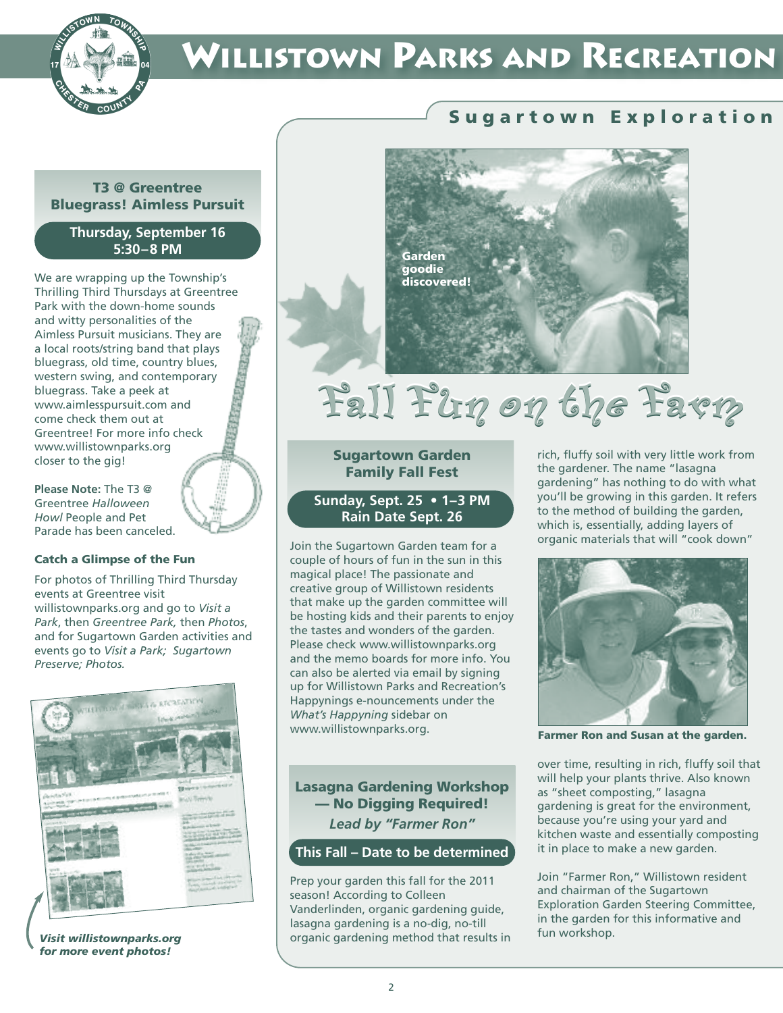

# **WILLISTOWN PARKS AND RECREATION**

#### **T3 @ Greentree Bluegrass! Aimless Pursuit**

#### **Thursday, September 16 5:30–8 PM**

We are wrapping up the Township's Thrilling Third Thursdays at Greentree Park with the down-home sounds and witty personalities of the Aimless Pursuit musicians. They are a local roots/string band that plays bluegrass, old time, country blues, western swing, and contemporary bluegrass. Take a peek at www.aimlesspursuit.com and come check them out at Greentree! For more info check www.willistownparks.org closer to the gig!

**Please Note:** The T3 @ Greentree *Halloween Howl* People and Pet Parade has been canceled.

#### **Catch a Glimpse of the Fun**

For photos of Thrilling Third Thursday events at Greentree visit willistownparks.org and go to *Visit a Park*, then *Greentree Park,* then *Photos*, and for Sugartown Garden activities and events go to *Visit a Park; Sugartown Preserve; Photos.*



*Visit willistownparks.org for more event photos!*

### **S u g a r t o w n E x p l o r a t i o n**



# Fall Fun on the Favn

#### **Sugartown Garden Family Fall Fest**

**Sunday, Sept. 25 • 1–3 PM Rain Date Sept. 26**

Join the Sugartown Garden team for a couple of hours of fun in the sun in this magical place! The passionate and creative group of Willistown residents that make up the garden committee will be hosting kids and their parents to enjoy the tastes and wonders of the garden. Please check www.willistownparks.org and the memo boards for more info. You can also be alerted via email by signing up for Willistown Parks and Recreation's Happynings e-nouncements under the *What's Happyning* sidebar on www.willistownparks.org.

**Lasagna Gardening Workshop — No Digging Required!** *Lead by "Farmer Ron"*

#### **This Fall – Date to be determined**

Prep your garden this fall for the 2011 season! According to Colleen Vanderlinden, organic gardening guide, lasagna gardening is a no-dig, no-till organic gardening method that results in rich, fluffy soil with very little work from the gardener. The name "lasagna gardening" has nothing to do with what you'll be growing in this garden. It refers to the method of building the garden, which is, essentially, adding layers of organic materials that will "cook down"



**Farmer Ron and Susan at the garden.**

over time, resulting in rich, fluffy soil that will help your plants thrive. Also known as "sheet composting," lasagna gardening is great for the environment, because you're using your yard and kitchen waste and essentially composting it in place to make a new garden.

Join "Farmer Ron," Willistown resident and chairman of the Sugartown Exploration Garden Steering Committee, in the garden for this informative and fun workshop.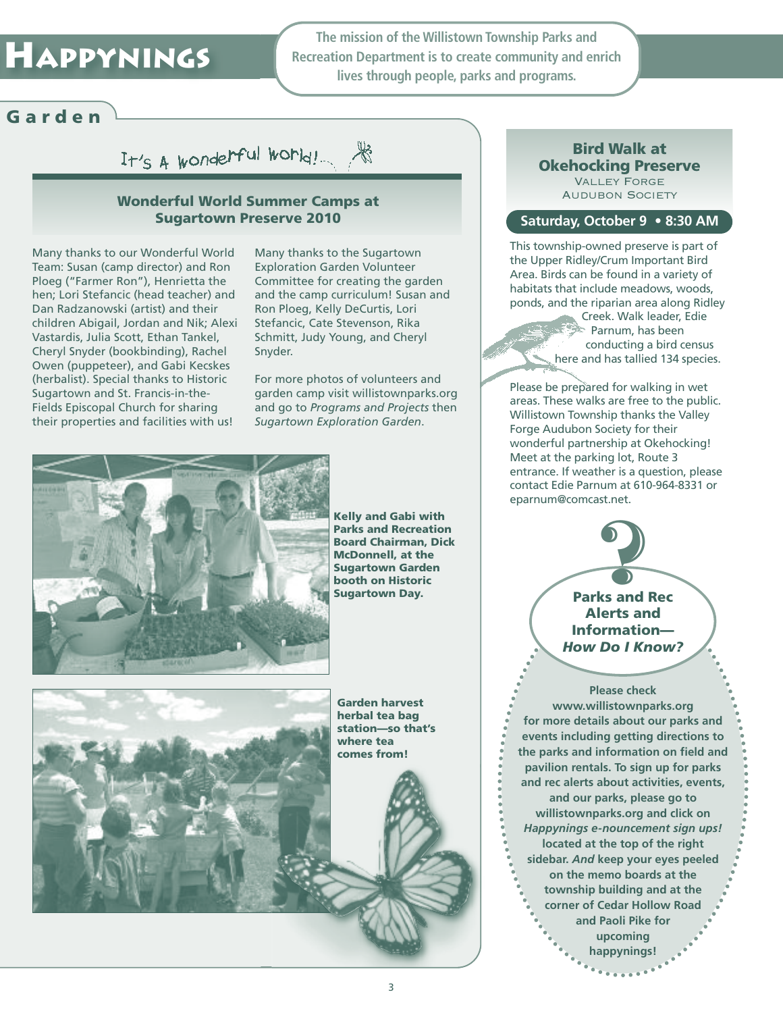# **HAPPYNINGS**

**The mission of the Willistown Township Parks and Recreation Department is to create community and enrich lives through people, parks and programs.**

### **G a r d e n**

It's A wonderful world!

#### **Wonderful World Summer Camps at Sugartown Preserve 2010**

Many thanks to our Wonderful World Team: Susan (camp director) and Ron Ploeg ("Farmer Ron"), Henrietta the hen; Lori Stefancic (head teacher) and Dan Radzanowski (artist) and their children Abigail, Jordan and Nik; Alexi Vastardis, Julia Scott, Ethan Tankel, Cheryl Snyder (bookbinding), Rachel Owen (puppeteer), and Gabi Kecskes (herbalist). Special thanks to Historic Sugartown and St. Francis-in-the-Fields Episcopal Church for sharing their properties and facilities with us!

Many thanks to the Sugartown Exploration Garden Volunteer Committee for creating the garden and the camp curriculum! Susan and Ron Ploeg, Kelly DeCurtis, Lori Stefancic, Cate Stevenson, Rika Schmitt, Judy Young, and Cheryl Snyder.

For more photos of volunteers and garden camp visit willistownparks.org and go to *Programs and Projects* then *Sugartown Exploration Garden*.



**Kelly and Gabi with Parks and Recreation Board Chairman, Dick McDonnell, at the Sugartown Garden booth on Historic Sugartown Day.**



**Garden harvest herbal tea bag station—so that's where tea comes from!**

#### **Bird Walk at Okehocking Preserve** Valley Forge

**AUDUBON SOCIETY** 

#### **Saturday, October 9 • 8:30 AM**

This township-owned preserve is part of the Upper Ridley/Crum Important Bird Area. Birds can be found in a variety of habitats that include meadows, woods, ponds, and the riparian area along Ridley

Creek. Walk leader, Edie Parnum, has been conducting a bird census here and has tallied 134 species.

Please be prepared for walking in wet areas. These walks are free to the public. Willistown Township thanks the Valley Forge Audubon Society for their wonderful partnership at Okehocking! Meet at the parking lot, Route 3 entrance. If weather is a question, please contact Edie Parnum at 610-964-8331 or eparnum@comcast.net.

**Parks and Rec Alerts and Information—** *How Do I Know?* **85t.net.** 

**Please check www.willistownparks.org for more details about our parks and events including getting directions to the parks and information on field and pavilion rentals. To sign up for parks and rec alerts about activities, events, and our parks, please go to willistownparks.org and click on** *Happynings e-nouncement sign ups!* **located at the top of the right sidebar.** *And* **keep your eyes peeled on the memo boards at the township building and at the corner of Cedar Hollow Road and Paoli Pike for upcoming happynings!**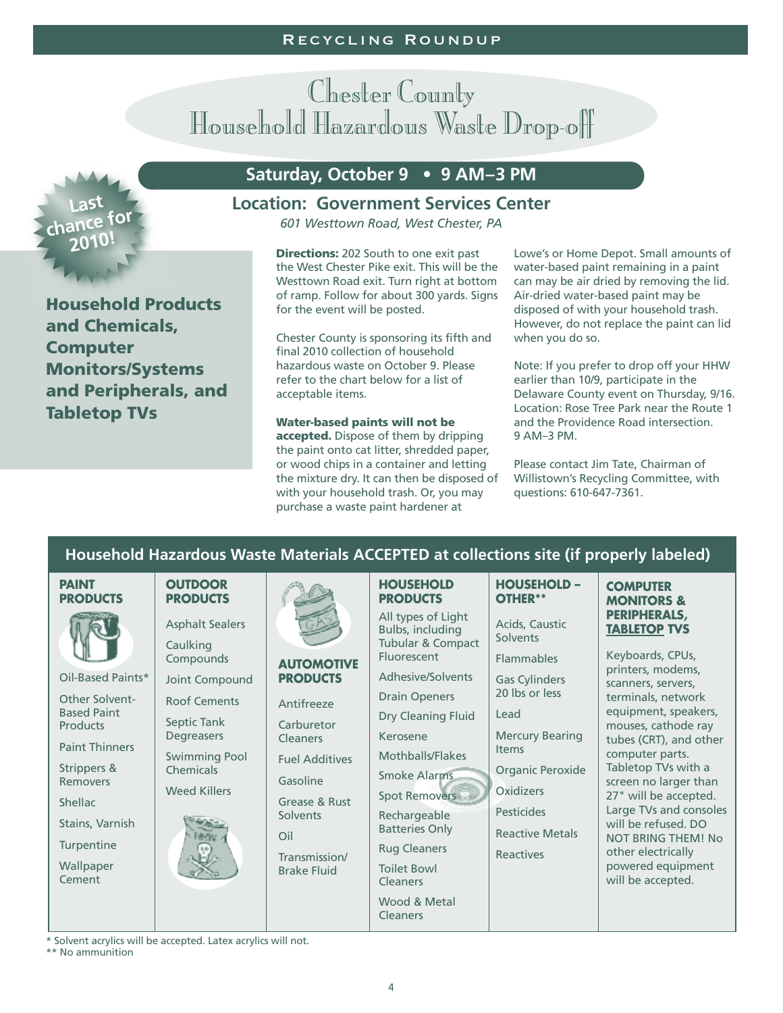# Chester County Household Hazardous Waste Drop-off



**Household Products and Chemicals, Computer Monitors/Systems and Peripherals, and Tabletop TVs**

### **Saturday, October 9 • 9 AM–3 PM**

#### **Location: Government Services Center**

*601 Westtown Road, West Chester, PA*

**Directions:** 202 South to one exit past the West Chester Pike exit. This will be the Westtown Road exit. Turn right at bottom of ramp. Follow for about 300 yards. Signs for the event will be posted.

Chester County is sponsoring its fifth and final 2010 collection of household hazardous waste on October 9. Please refer to the chart below for a list of acceptable items.

**Water-based paints will not be accepted.** Dispose of them by dripping the paint onto cat litter, shredded paper, or wood chips in a container and letting the mixture dry. It can then be disposed of with your household trash. Or, you may purchase a waste paint hardener at

Lowe's or Home Depot. Small amounts of water-based paint remaining in a paint can may be air dried by removing the lid. Air-dried water-based paint may be disposed of with your household trash. However, do not replace the paint can lid when you do so.

Note: If you prefer to drop off your HHW earlier than 10/9, participate in the Delaware County event on Thursday, 9/16. Location: Rose Tree Park near the Route 1 and the Providence Road intersection. 9 AM–3 PM.

Please contact Jim Tate, Chairman of Willistown's Recycling Committee, with questions: 610-647-7361.

### **Household Hazardous Waste Materials ACCEPTED at collections site (if properly labeled)**

| <b>PAINT</b><br><b>PRODUCTS</b>                                                                                                   | <b>OUTDOOR</b><br><b>PRODUCTS</b>                                             |                                                                                                                                 | <b>HOUSEHOLD</b><br><b>PRODUCTS</b>                                                                                                                                           | <b>HOUSEHOLD -</b><br>OTHER**                                                                                                                     | <b>COMPUTER</b><br><b>MONITORS &amp;</b>                                                                                                                                                                                                                         |  |  |
|-----------------------------------------------------------------------------------------------------------------------------------|-------------------------------------------------------------------------------|---------------------------------------------------------------------------------------------------------------------------------|-------------------------------------------------------------------------------------------------------------------------------------------------------------------------------|---------------------------------------------------------------------------------------------------------------------------------------------------|------------------------------------------------------------------------------------------------------------------------------------------------------------------------------------------------------------------------------------------------------------------|--|--|
|                                                                                                                                   | <b>Asphalt Sealers</b><br>Caulking<br>Compounds                               | <b>AUTOMOTIVE</b>                                                                                                               | All types of Light<br>Bulbs, including<br>Tubular & Compact<br><b>Fluorescent</b>                                                                                             | Acids, Caustic<br><b>Solvents</b><br><b>Flammables</b>                                                                                            | PERIPHERALS,<br><b>TABLETOP TVS</b><br>Keyboards, CPUs,<br>printers, modems,<br>scanners, servers,<br>terminals, network                                                                                                                                         |  |  |
| Oil-Based Paints*<br><b>Other Solvent-</b>                                                                                        | Joint Compound                                                                | <b>PRODUCTS</b>                                                                                                                 | Adhesive/Solvents<br><b>Drain Openers</b>                                                                                                                                     | <b>Gas Cylinders</b><br>20 lbs or less                                                                                                            |                                                                                                                                                                                                                                                                  |  |  |
| <b>Based Paint</b><br><b>Products</b>                                                                                             | <b>Roof Cements</b><br>Septic Tank                                            | Antifreeze<br>Carburetor                                                                                                        | Dry Cleaning Fluid                                                                                                                                                            | Lead                                                                                                                                              | equipment, speakers,<br>mouses, cathode ray                                                                                                                                                                                                                      |  |  |
| <b>Paint Thinners</b><br>Strippers &<br><b>Removers</b><br><b>Shellac</b><br>Stains, Varnish<br>Turpentine<br>Wallpaper<br>Cement | Degreasers<br><b>Swimming Pool</b><br><b>Chemicals</b><br><b>Weed Killers</b> | <b>Cleaners</b><br><b>Fuel Additives</b><br>Gasoline<br>Grease & Rust<br>Solvents<br>Oil<br>Transmission/<br><b>Brake Fluid</b> | Kerosene<br>Mothballs/Flakes<br>Smoke Alarms<br><b>Spot Removers</b><br>Rechargeable<br><b>Batteries Only</b><br><b>Rug Cleaners</b><br><b>Toilet Bowl</b><br><b>Cleaners</b> | <b>Mercury Bearing</b><br><b>Items</b><br>Organic Peroxide<br><b>Oxidizers</b><br><b>Pesticides</b><br><b>Reactive Metals</b><br><b>Reactives</b> | tubes (CRT), and other<br>computer parts.<br>Tabletop TVs with a<br>screen no larger than<br>27" will be accepted.<br>Large TVs and consoles<br>will be refused. DO<br><b>NOT BRING THEM! No</b><br>other electrically<br>powered equipment<br>will be accepted. |  |  |
|                                                                                                                                   |                                                                               |                                                                                                                                 | Wood & Metal<br><b>Cleaners</b>                                                                                                                                               |                                                                                                                                                   |                                                                                                                                                                                                                                                                  |  |  |

\* Solvent acrylics will be accepted. Latex acrylics will not.

\*\* No ammunition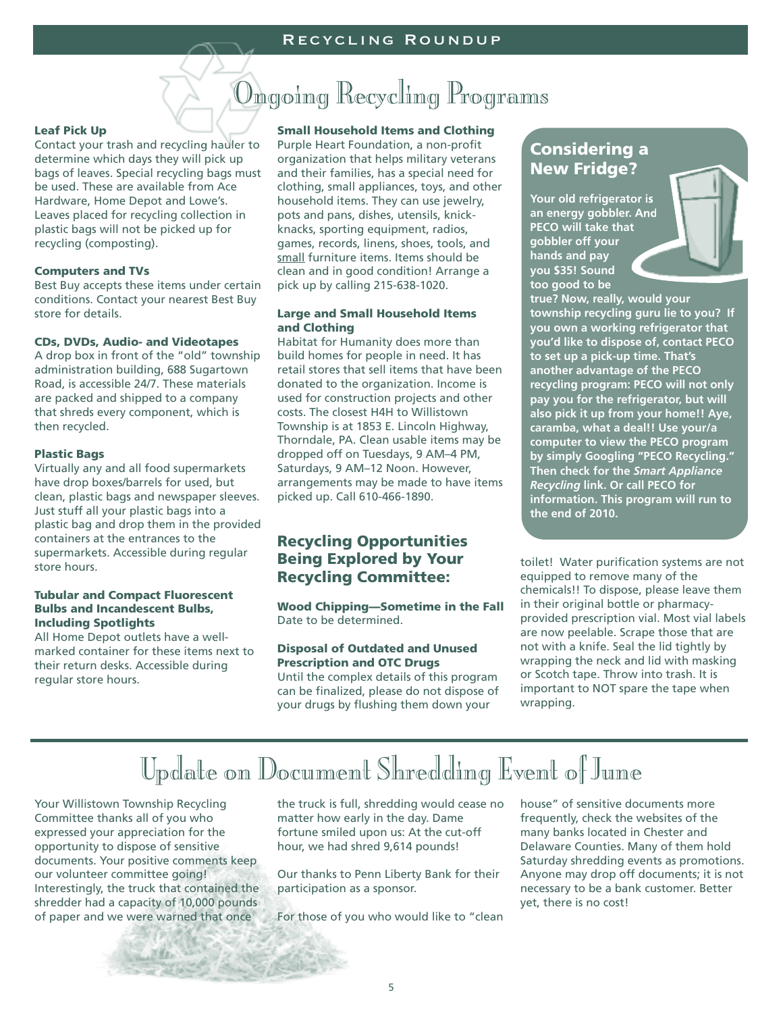# Ongoing Recycling Programs

#### **Leaf Pick Up**

Contact your trash and recycling hauler to determine which days they will pick up bags of leaves. Special recycling bags must be used. These are available from Ace Hardware, Home Depot and Lowe's. Leaves placed for recycling collection in plastic bags will not be picked up for recycling (composting).

#### **Computers and TVs**

Best Buy accepts these items under certain conditions. Contact your nearest Best Buy store for details.

#### **CDs, DVDs, Audio- and Videotapes**

A drop box in front of the "old" township administration building, 688 Sugartown Road, is accessible 24/7. These materials are packed and shipped to a company that shreds every component, which is then recycled.

#### **Plastic Bags**

Virtually any and all food supermarkets have drop boxes/barrels for used, but clean, plastic bags and newspaper sleeves. Just stuff all your plastic bags into a plastic bag and drop them in the provided containers at the entrances to the supermarkets. Accessible during regular store hours.

#### **Tubular and Compact Fluorescent Bulbs and Incandescent Bulbs, Including Spotlights**

All Home Depot outlets have a wellmarked container for these items next to their return desks. Accessible during regular store hours.

**Small Household Items and Clothing**

Purple Heart Foundation, a non-profit organization that helps military veterans and their families, has a special need for clothing, small appliances, toys, and other household items. They can use jewelry, pots and pans, dishes, utensils, knickknacks, sporting equipment, radios, games, records, linens, shoes, tools, and small furniture items. Items should be clean and in good condition! Arrange a pick up by calling 215-638-1020.

#### **Large and Small Household Items and Clothing**

Habitat for Humanity does more than build homes for people in need. It has retail stores that sell items that have been donated to the organization. Income is used for construction projects and other costs. The closest H4H to Willistown Township is at 1853 E. Lincoln Highway, Thorndale, PA. Clean usable items may be dropped off on Tuesdays, 9 AM–4 PM, Saturdays, 9 AM–12 Noon. However, arrangements may be made to have items picked up. Call 610-466-1890.

### **Recycling Opportunities Being Explored by Your Recycling Committee:**

**Wood Chipping—Sometime in the Fall** Date to be determined.

#### **Disposal of Outdated and Unused Prescription and OTC Drugs**

Until the complex details of this program can be finalized, please do not dispose of your drugs by flushing them down your

### **Considering a New Fridge?**

**Your old refrigerator is an energy gobbler. And PECO will take that gobbler off your hands and pay you \$35! Sound too good to be**

**true? Now, really, would your township recycling guru lie to you? If you own a working refrigerator that you'd like to dispose of, contact PECO to set up a pick-up time. That's another advantage of the PECO recycling program: PECO will not only pay you for the refrigerator, but will also pick it up from your home!! Aye, caramba, what a deal!! Use your/a computer to view the PECO program by simply Googling "PECO Recycling." Then check for the** *Smart Appliance Recycling* **link. Or call PECO for information. This program will run to the end of 2010.**

toilet! Water purification systems are not equipped to remove many of the chemicals!! To dispose, please leave them in their original bottle or pharmacyprovided prescription vial. Most vial labels are now peelable. Scrape those that are not with a knife. Seal the lid tightly by wrapping the neck and lid with masking or Scotch tape. Throw into trash. It is important to NOT spare the tape when wrapping.

# Update on Document Shredding Event of June

Your Willistown Township Recycling Committee thanks all of you who expressed your appreciation for the opportunity to dispose of sensitive documents. Your positive comments keep our volunteer committee going! Interestingly, the truck that contained the shredder had a capacity of 10,000 pounds of paper and we were warned that once

the truck is full, shredding would cease no matter how early in the day. Dame fortune smiled upon us: At the cut-off hour, we had shred 9,614 pounds!

Our thanks to Penn Liberty Bank for their participation as a sponsor.

For those of you who would like to "clean

house" of sensitive documents more frequently, check the websites of the many banks located in Chester and Delaware Counties. Many of them hold Saturday shredding events as promotions. Anyone may drop off documents; it is not necessary to be a bank customer. Better yet, there is no cost!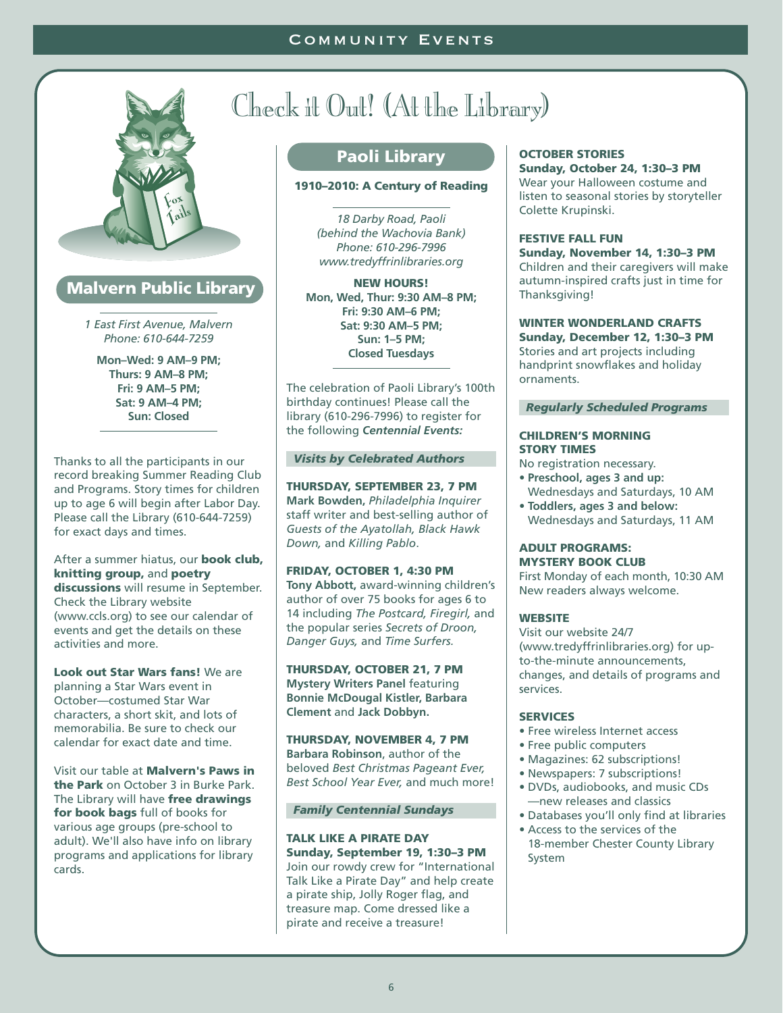

### **Malvern Public Library**

*1 East First Avenue, Malvern Phone: 610-644-7259*

**Mon–Wed: 9 AM–9 PM; Thurs: 9 AM–8 PM; Fri: 9 AM–5 PM; Sat: 9 AM–4 PM; Sun: Closed**

Thanks to all the participants in our record breaking Summer Reading Club and Programs. Story times for children up to age 6 will begin after Labor Day. Please call the Library (610-644-7259) for exact days and times.

After a summer hiatus, our **book club, knitting group,** and **poetry discussions** will resume in September. Check the Library website (www.ccls.org) to see our calendar of events and get the details on these activities and more.

**Look out Star Wars fans!** We are planning a Star Wars event in October—costumed Star War characters, a short skit, and lots of memorabilia. Be sure to check our calendar for exact date and time.

Visit our table at **Malvern's Paws in the Park** on October 3 in Burke Park. The Library will have **free drawings for book bags** full of books for various age groups (pre-school to adult). We'll also have info on library programs and applications for library cards.

# Check it Out! (At the Library)

### **Paoli Library**

#### **1910–2010: A Century of Reading**

*18 Darby Road, Paoli (behind the Wachovia Bank) Phone: 610-296-7996 www.tredyffrinlibraries.org*

**NEW HOURS! Mon, Wed, Thur: 9:30 AM–8 PM; Fri: 9:30 AM–6 PM; Sat: 9:30 AM–5 PM; Sun: 1–5 PM; Closed Tuesdays**

The celebration of Paoli Library's 100th birthday continues! Please call the library (610-296-7996) to register for the following *Centennial Events:*

#### *Visits by Celebrated Authors*

**THURSDAY, SEPTEMBER 23, 7 PM Mark Bowden,** *Philadelphia Inquirer* staff writer and best-selling author of *Guests of the Ayatollah, Black Hawk Down,* and *Killing Pablo*.

**FRIDAY, OCTOBER 1, 4:30 PM Tony Abbott,** award-winning children's author of over 75 books for ages 6 to 14 including *The Postcard, Firegirl,* and the popular series *Secrets of Droon, Danger Guys,* and *Time Surfers.*

**THURSDAY, OCTOBER 21, 7 PM Mystery Writers Panel** featuring **Bonnie McDougal Kistler, Barbara Clement** and **Jack Dobbyn.**

**THURSDAY, NOVEMBER 4, 7 PM Barbara Robinson**, author of the beloved *Best Christmas Pageant Ever, Best School Year Ever,* and much more!

#### *Family Centennial Sundays*

#### **TALK LIKE A PIRATE DAY Sunday, September 19, 1:30–3 PM**

Join our rowdy crew for "International Talk Like a Pirate Day" and help create a pirate ship, Jolly Roger flag, and treasure map. Come dressed like a pirate and receive a treasure!

#### **OCTOBER STORIES**

**Sunday, October 24, 1:30–3 PM** Wear your Halloween costume and listen to seasonal stories by storyteller Colette Krupinski.

#### **FESTIVE FALL FUN**

**Sunday, November 14, 1:30–3 PM** Children and their caregivers will make autumn-inspired crafts just in time for Thanksgiving!

#### **WINTER WONDERLAND CRAFTS**

**Sunday, December 12, 1:30–3 PM** Stories and art projects including handprint snowflakes and holiday ornaments.

#### *Regularly Scheduled Programs*

#### **CHILDREN'S MORNING STORY TIMES**

- No registration necessary.
- **• Preschool, ages 3 and up:** Wednesdays and Saturdays, 10 AM
- **• Toddlers, ages 3 and below:** Wednesdays and Saturdays, 11 AM

#### **ADULT PROGRAMS: MYSTERY BOOK CLUB**

First Monday of each month, 10:30 AM New readers always welcome.

#### **WEBSITE**

Visit our website 24/7 (www.tredyffrinlibraries.org) for upto-the-minute announcements, changes, and details of programs and services.

#### **SERVICES**

- Free wireless Internet access
- Free public computers
- Magazines: 62 subscriptions!
- Newspapers: 7 subscriptions!
- DVDs, audiobooks, and music CDs —new releases and classics
- Databases you'll only find at libraries
- Access to the services of the 18-member Chester County Library System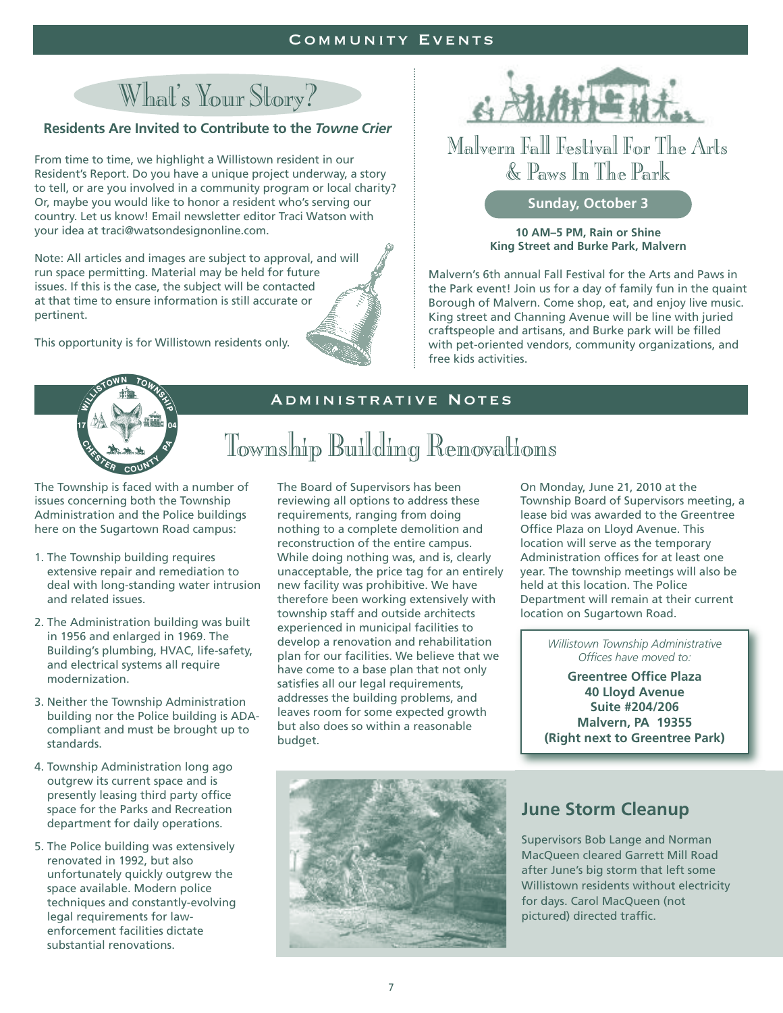#### Community Events

# What's Your Story?

#### **Residents Are Invited to Contribute to the** *Towne Crier*

From time to time, we highlight a Willistown resident in our Resident's Report. Do you have a unique project underway, a story to tell, or are you involved in a community program or local charity? Or, maybe you would like to honor a resident who's serving our country. Let us know! Email newsletter editor Traci Watson with your idea at traci@watsondesignonline.com.

Note: All articles and images are subject to approval, and will run space permitting. Material may be held for future issues. If this is the case, the subject will be contacted at that time to ensure information is still accurate or pertinent.

This opportunity is for Willistown residents only.



### Malvern Fall Festival For The Arts & Paws In The Park

#### **Sunday, October 3**

**10 AM–5 PM, Rain or Shine King Street and Burke Park, Malvern**

Malvern's 6th annual Fall Festival for the Arts and Paws in the Park event! Join us for a day of family fun in the quaint Borough of Malvern. Come shop, eat, and enjoy live music. King street and Channing Avenue will be line with juried craftspeople and artisans, and Burke park will be filled with pet-oriented vendors, community organizations, and free kids activities.



#### Administrative Notes

# Township Building Renovations

The Township is faced with a number of issues concerning both the Township Administration and the Police buildings here on the Sugartown Road campus:

- 1. The Township building requires extensive repair and remediation to deal with long-standing water intrusion and related issues.
- 2. The Administration building was built in 1956 and enlarged in 1969. The Building's plumbing, HVAC, life-safety, and electrical systems all require modernization.
- 3. Neither the Township Administration building nor the Police building is ADAcompliant and must be brought up to standards.
- 4. Township Administration long ago outgrew its current space and is presently leasing third party office space for the Parks and Recreation department for daily operations.
- 5. The Police building was extensively renovated in 1992, but also unfortunately quickly outgrew the space available. Modern police techniques and constantly-evolving legal requirements for lawenforcement facilities dictate substantial renovations.

The Board of Supervisors has been reviewing all options to address these requirements, ranging from doing nothing to a complete demolition and reconstruction of the entire campus. While doing nothing was, and is, clearly unacceptable, the price tag for an entirely new facility was prohibitive. We have therefore been working extensively with township staff and outside architects experienced in municipal facilities to develop a renovation and rehabilitation plan for our facilities. We believe that we have come to a base plan that not only satisfies all our legal requirements, addresses the building problems, and leaves room for some expected growth but also does so within a reasonable budget.

On Monday, June 21, 2010 at the Township Board of Supervisors meeting, a lease bid was awarded to the Greentree Office Plaza on Lloyd Avenue. This location will serve as the temporary Administration offices for at least one year. The township meetings will also be held at this location. The Police Department will remain at their current location on Sugartown Road.

> *Willistown Township Administrative Offices have moved to:*

**Greentree Office Plaza 40 Lloyd Avenue Suite #204/206 Malvern, PA 19355 (Right next to Greentree Park)**



### **June Storm Cleanup**

Supervisors Bob Lange and Norman MacQueen cleared Garrett Mill Road after June's big storm that left some Willistown residents without electricity for days. Carol MacQueen (not pictured) directed traffic.